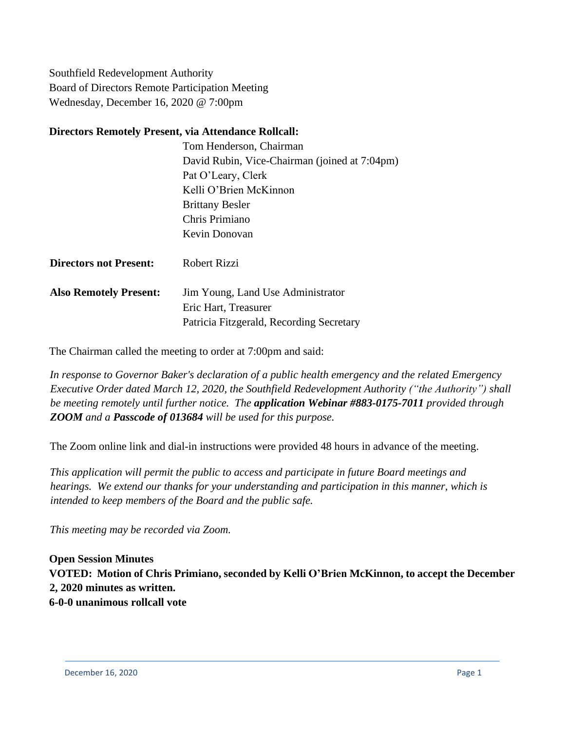Southfield Redevelopment Authority Board of Directors Remote Participation Meeting Wednesday, December 16, 2020 @ 7:00pm

## **Directors Remotely Present, via Attendance Rollcall:**

Tom Henderson, Chairman David Rubin, Vice-Chairman (joined at 7:04pm) Pat O'Leary, Clerk Kelli O'Brien McKinnon Brittany Besler Chris Primiano Kevin Donovan

| <b>Directors not Present:</b> | <b>Robert Rizzi</b> |  |
|-------------------------------|---------------------|--|
|                               |                     |  |

**Also Remotely Present:** Jim Young, Land Use Administrator Eric Hart, Treasurer Patricia Fitzgerald, Recording Secretary

The Chairman called the meeting to order at 7:00pm and said:

*In response to Governor Baker's declaration of a public health emergency and the related Emergency Executive Order dated March 12, 2020, the Southfield Redevelopment Authority ("the Authority") shall be meeting remotely until further notice. The application Webinar #883-0175-7011 provided through ZOOM and a Passcode of 013684 will be used for this purpose.*

The Zoom online link and dial-in instructions were provided 48 hours in advance of the meeting.

*This application will permit the public to access and participate in future Board meetings and hearings. We extend our thanks for your understanding and participation in this manner, which is intended to keep members of the Board and the public safe.*

*This meeting may be recorded via Zoom.*

**Open Session Minutes VOTED: Motion of Chris Primiano, seconded by Kelli O'Brien McKinnon, to accept the December 2, 2020 minutes as written. 6-0-0 unanimous rollcall vote**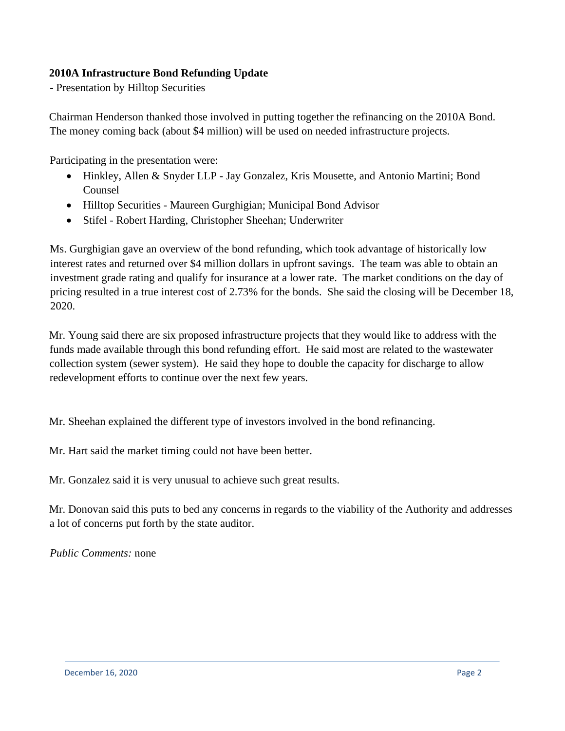# **2010A Infrastructure Bond Refunding Update**

**-** Presentation by Hilltop Securities

Chairman Henderson thanked those involved in putting together the refinancing on the 2010A Bond. The money coming back (about \$4 million) will be used on needed infrastructure projects.

Participating in the presentation were:

- Hinkley, Allen & Snyder LLP Jay Gonzalez, Kris Mousette, and Antonio Martini; Bond Counsel
- Hilltop Securities Maureen Gurghigian; Municipal Bond Advisor
- Stifel Robert Harding, Christopher Sheehan; Underwriter

Ms. Gurghigian gave an overview of the bond refunding, which took advantage of historically low interest rates and returned over \$4 million dollars in upfront savings. The team was able to obtain an investment grade rating and qualify for insurance at a lower rate. The market conditions on the day of pricing resulted in a true interest cost of 2.73% for the bonds. She said the closing will be December 18, 2020.

Mr. Young said there are six proposed infrastructure projects that they would like to address with the funds made available through this bond refunding effort. He said most are related to the wastewater collection system (sewer system). He said they hope to double the capacity for discharge to allow redevelopment efforts to continue over the next few years.

Mr. Sheehan explained the different type of investors involved in the bond refinancing.

Mr. Hart said the market timing could not have been better.

Mr. Gonzalez said it is very unusual to achieve such great results.

Mr. Donovan said this puts to bed any concerns in regards to the viability of the Authority and addresses a lot of concerns put forth by the state auditor.

*Public Comments:* none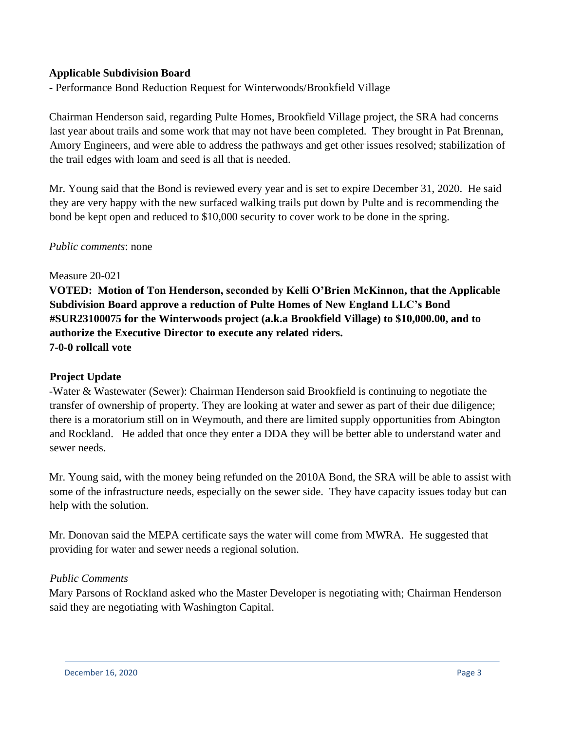# **Applicable Subdivision Board**

- Performance Bond Reduction Request for Winterwoods/Brookfield Village

Chairman Henderson said, regarding Pulte Homes, Brookfield Village project, the SRA had concerns last year about trails and some work that may not have been completed. They brought in Pat Brennan, Amory Engineers, and were able to address the pathways and get other issues resolved; stabilization of the trail edges with loam and seed is all that is needed.

Mr. Young said that the Bond is reviewed every year and is set to expire December 31, 2020. He said they are very happy with the new surfaced walking trails put down by Pulte and is recommending the bond be kept open and reduced to \$10,000 security to cover work to be done in the spring.

#### *Public comments*: none

#### Measure 20-021

**VOTED: Motion of Ton Henderson, seconded by Kelli O'Brien McKinnon, that the Applicable Subdivision Board approve a reduction of Pulte Homes of New England LLC's Bond #SUR23100075 for the Winterwoods project (a.k.a Brookfield Village) to \$10,000.00, and to authorize the Executive Director to execute any related riders. 7-0-0 rollcall vote**

### **Project Update**

-Water & Wastewater (Sewer): Chairman Henderson said Brookfield is continuing to negotiate the transfer of ownership of property. They are looking at water and sewer as part of their due diligence; there is a moratorium still on in Weymouth, and there are limited supply opportunities from Abington and Rockland. He added that once they enter a DDA they will be better able to understand water and sewer needs.

Mr. Young said, with the money being refunded on the 2010A Bond, the SRA will be able to assist with some of the infrastructure needs, especially on the sewer side. They have capacity issues today but can help with the solution.

Mr. Donovan said the MEPA certificate says the water will come from MWRA. He suggested that providing for water and sewer needs a regional solution.

### *Public Comments*

Mary Parsons of Rockland asked who the Master Developer is negotiating with; Chairman Henderson said they are negotiating with Washington Capital.